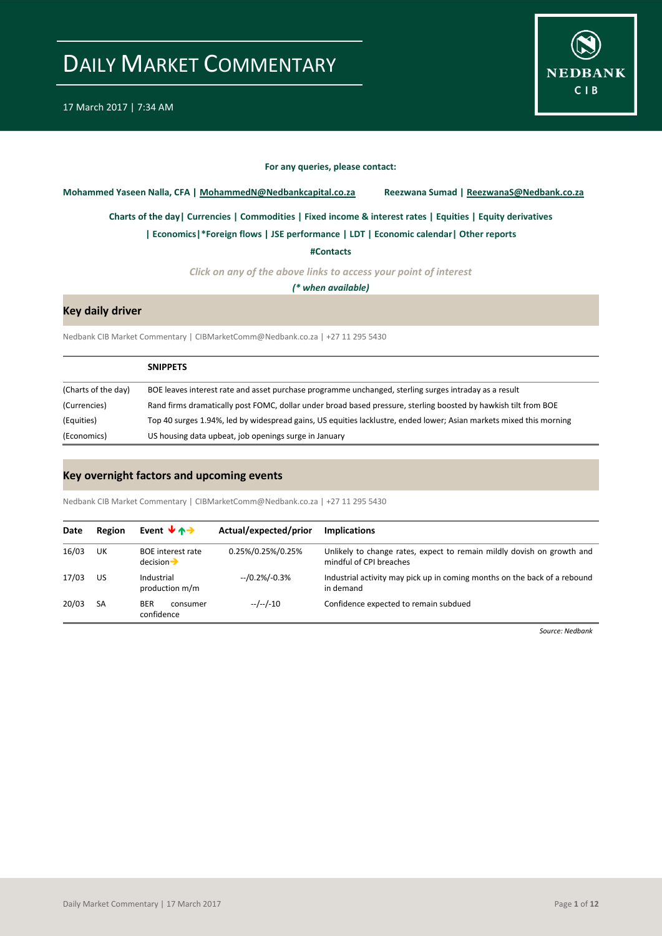

#### **For any queries, please contact:**

<span id="page-0-0"></span>**Mohammed Yaseen Nalla, CFA | MohammedN@Nedbankcapital.co.za Reezwana Sumad | ReezwanaS@Nedbank.co.za**

**[Charts of the day|](#page-1-0) [Currencies](#page-2-0) [| Commodities](#page-3-0) | [Fixed income & interest rates](#page-4-0) [| Equities](#page-5-0) | Equity derivatives**

**[| Economics|](#page-6-0)\*Foreign flows | [JSE performance](#page-7-0) [| LDT](#page-8-0) [| Economic calendar|](#page-9-0) Other reports** 

**[#Contacts](#page-10-0)**

*Click on any of the above links to access your point of interest*

*(\* when available)*

### **Key daily driver**

Nedbank CIB Market Commentary | CIBMarketComm@Nedbank.co.za | +27 11 295 5430

|                     | <b>SNIPPETS</b>                                                                                                     |
|---------------------|---------------------------------------------------------------------------------------------------------------------|
| (Charts of the day) | BOE leaves interest rate and asset purchase programme unchanged, sterling surges intraday as a result               |
| (Currencies)        | Rand firms dramatically post FOMC, dollar under broad based pressure, sterling boosted by hawkish tilt from BOE     |
| (Equities)          | Top 40 surges 1.94%, led by widespread gains, US equities lacklustre, ended lower; Asian markets mixed this morning |
| (Economics)         | US housing data upbeat, job openings surge in January                                                               |

### **Key overnight factors and upcoming events**

Nedbank CIB Market Commentary | CIBMarketComm@Nedbank.co.za | +27 11 295 5430

| Date  | Region | Event $\forall$ $\land \rightarrow$                | Actual/expected/prior | <b>Implications</b>                                                                               |
|-------|--------|----------------------------------------------------|-----------------------|---------------------------------------------------------------------------------------------------|
| 16/03 | UK     | <b>BOE</b> interest rate<br>$decision \rightarrow$ | 0.25%/0.25%/0.25%     | Unlikely to change rates, expect to remain mildly dovish on growth and<br>mindful of CPI breaches |
| 17/03 | US     | $-10.2\%/0.3\%$<br>Industrial<br>production m/m    |                       | Industrial activity may pick up in coming months on the back of a rebound<br>in demand            |
| 20/03 | SA     | <b>BER</b><br>consumer<br>confidence               | $-/-/-10$             | Confidence expected to remain subdued                                                             |

*Source: Nedbank*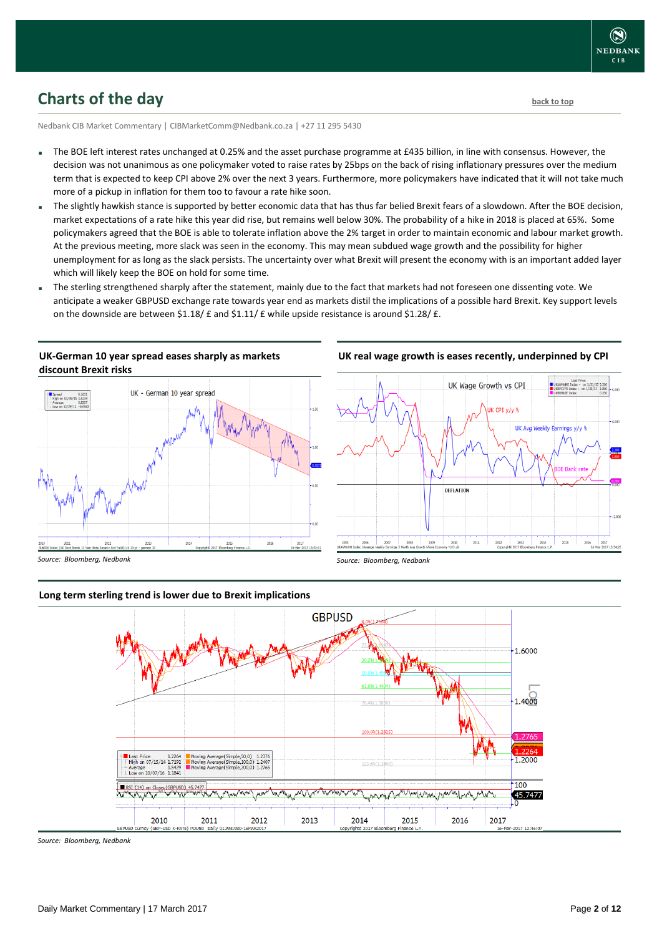

## <span id="page-1-0"></span>**Charts of the day** [back to top](#page-0-0) **back to top**

Nedbank CIB Market Commentary | CIBMarketComm@Nedbank.co.za | +27 11 295 5430

- The BOE left interest rates unchanged at 0.25% and the asset purchase programme at £435 billion, in line with consensus. However, the decision was not unanimous as one policymaker voted to raise rates by 25bps on the back of rising inflationary pressures over the medium term that is expected to keep CPI above 2% over the next 3 years. Furthermore, more policymakers have indicated that it will not take much more of a pickup in inflation for them too to favour a rate hike soon.
- The slightly hawkish stance is supported by better economic data that has thus far belied Brexit fears of a slowdown. After the BOE decision, market expectations of a rate hike this year did rise, but remains well below 30%. The probability of a hike in 2018 is placed at 65%. Some policymakers agreed that the BOE is able to tolerate inflation above the 2% target in order to maintain economic and labour market growth. At the previous meeting, more slack was seen in the economy. This may mean subdued wage growth and the possibility for higher unemployment for as long as the slack persists. The uncertainty over what Brexit will present the economy with is an important added layer which will likely keep the BOE on hold for some time.
- The sterling strengthened sharply after the statement, mainly due to the fact that markets had not foreseen one dissenting vote. We anticipate a weaker GBPUSD exchange rate towards year end as markets distil the implications of a possible hard Brexit. Key support levels on the downside are between  $$1.18/ \text{ E}$  and  $$1.11/ \text{ E}$  while upside resistance is around  $$1.28/ \text{ E}$ .

### **UK-German 10 year spread eases sharply as markets discount Brexit risks**



### **UK real wage growth is eases recently, underpinned by CPI**



### **Long term sterling trend is lower due to Brexit implications**



*Source: Bloomberg, Nedbank*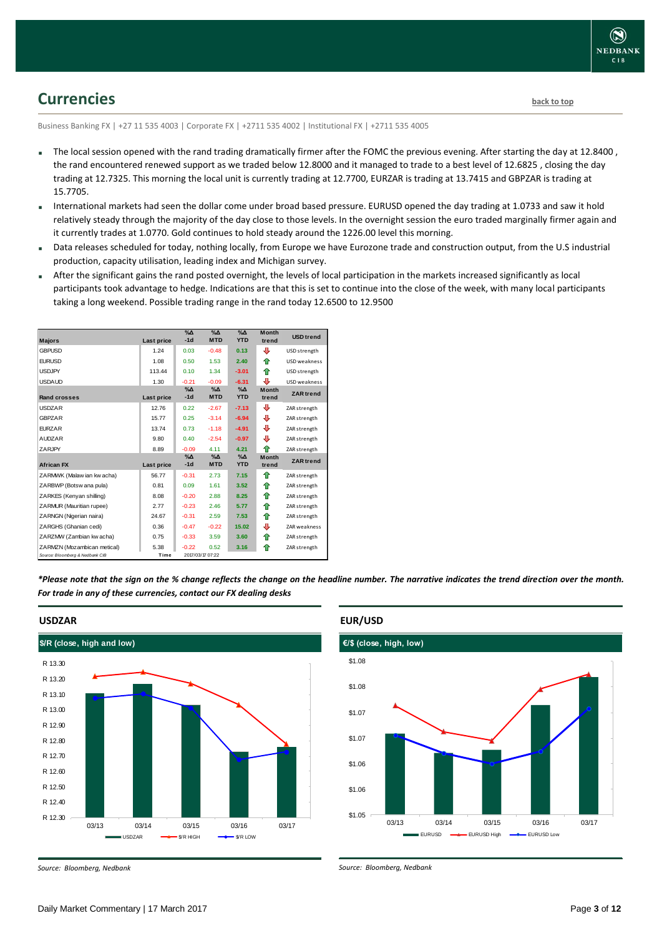

## <span id="page-2-0"></span>**Currencies [back to top](#page-0-0)**

Business Banking FX | +27 11 535 4003 | Corporate FX | +2711 535 4002 | Institutional FX | +2711 535 4005

- The local session opened with the rand trading dramatically firmer after the FOMC the previous evening. After starting the day at 12.8400 , the rand encountered renewed support as we traded below 12.8000 and it managed to trade to a best level of 12.6825 , closing the day trading at 12.7325. This morning the local unit is currently trading at 12.7700, EURZAR is trading at 13.7415 and GBPZAR is trading at 15.7705.
- International markets had seen the dollar come under broad based pressure. EURUSD opened the day trading at 1.0733 and saw it hold relatively steady through the majority of the day close to those levels. In the overnight session the euro traded marginally firmer again and it currently trades at 1.0770. Gold continues to hold steady around the 1226.00 level this morning.
- Data releases scheduled for today, nothing locally, from Europe we have Eurozone trade and construction output, from the U.S industrial production, capacity utilisation, leading index and Michigan survey.
- After the significant gains the rand posted overnight, the levels of local participation in the markets increased significantly as local participants took advantage to hedge. Indications are that this is set to continue into the close of the week, with many local participants taking a long weekend. Possible trading range in the rand today 12.6500 to 12.9500

| <b>Majors</b>                   | Last price | $\%$ $\Delta$<br>$-1d$ | $\sqrt{\Delta}$<br><b>MTD</b> | $\%$ $\Delta$<br><b>YTD</b> | <b>Month</b><br>trend | <b>USD</b> trend    |
|---------------------------------|------------|------------------------|-------------------------------|-----------------------------|-----------------------|---------------------|
| <b>GBPUSD</b>                   | 1.24       | 0.03                   | $-0.48$                       | 0.13                        | ⊕                     | USD strength        |
| <b>EURUSD</b>                   | 1.08       | 0.50                   | 1.53                          | 2.40                        | ⇑                     | USD weakness        |
| <b>USDJPY</b>                   | 113.44     | 0.10                   | 1.34                          | $-3.01$                     | ♠                     | USD strength        |
| <b>USDAUD</b>                   | 1.30       | $-0.21$                | $-0.09$                       | $-6.31$                     | л                     | USD weakness        |
| <b>Rand crosses</b>             | Last price | $% \Delta$<br>$-1d$    | $\Delta$<br><b>MTD</b>        | $\Delta$<br><b>YTD</b>      | <b>Month</b><br>trend | <b>ZAR</b> trend    |
| <b>USDZAR</b>                   | 12.76      | 0.22                   | $-2.67$                       | $-7.13$                     | ⊕                     | ZAR strength        |
| <b>GBPZAR</b>                   | 15.77      | 0.25                   | $-3.14$                       | $-6.94$                     | ⊕                     | ZAR strength        |
| <b>FURZAR</b>                   | 13.74      | 0.73                   | $-1.18$                       | $-4.91$                     | ⊕                     | ZAR strength        |
| <b>AUDZAR</b>                   | 9.80       | 0.40                   | $-2.54$                       | $-0.97$                     | ⊕                     | ZAR strength        |
| ZARJPY                          | 8.89       | $-0.09$                | 4.11                          | 4.21                        | ♠                     | ZAR strength        |
| <b>African FX</b>               | Last price | $\%$ $\Delta$<br>$-1d$ | $\%$ $\Delta$<br><b>MTD</b>   | $\%$ $\Delta$<br><b>YTD</b> | <b>Month</b><br>trend | <b>ZAR</b> trend    |
| ZARMWK (Malaw ian kw acha)      | 56.77      | $-0.31$                | 2.73                          | 7.15                        | ⇑                     | ZAR strength        |
| ZARBWP (Botsw ana pula)         | 0.81       | 0.09                   | 1.61                          | 3.52                        | ⇑                     | ZAR strength        |
| ZARKES (Kenyan shilling)        | 8.08       | $-0.20$                | 2.88                          | 8.25                        | ⇑                     | ZAR strength        |
| ZARMUR (Mauritian rupee)        | 2.77       | $-0.23$                | 2.46                          | 5.77                        | ⇑                     | ZAR strength        |
| ZARNGN (Nigerian naira)         | 24.67      | $-0.31$                | 2.59                          | 7.53                        | ⇑                     | ZAR strength        |
| ZARGHS (Ghanian cedi)           | 0.36       | $-0.47$                | $-0.22$                       | 15.02                       | ⊕                     | <b>ZAR</b> weakness |
| ZARZMW (Zambian kw acha)        | 0.75       | $-0.33$                | 3.59                          | 3.60                        | ⇑                     | ZAR strength        |
| ZARMZN (Mozambican metical)     | 5.38       | $-0.22$                | 0.52                          | 3.16                        | ⇑                     | ZAR strength        |
| Source: Bloomberg & Nedbank CIB | Time       |                        | 2017/03/17 07:22              |                             |                       |                     |

*\*Please note that the sign on the % change reflects the change on the headline number. The narrative indicates the trend direction over the month. For trade in any of these currencies, contact our FX dealing desks*



#### **USDZAR**

*Source: Bloomberg, Nedbank*



#### *Source: Bloomberg, Nedbank*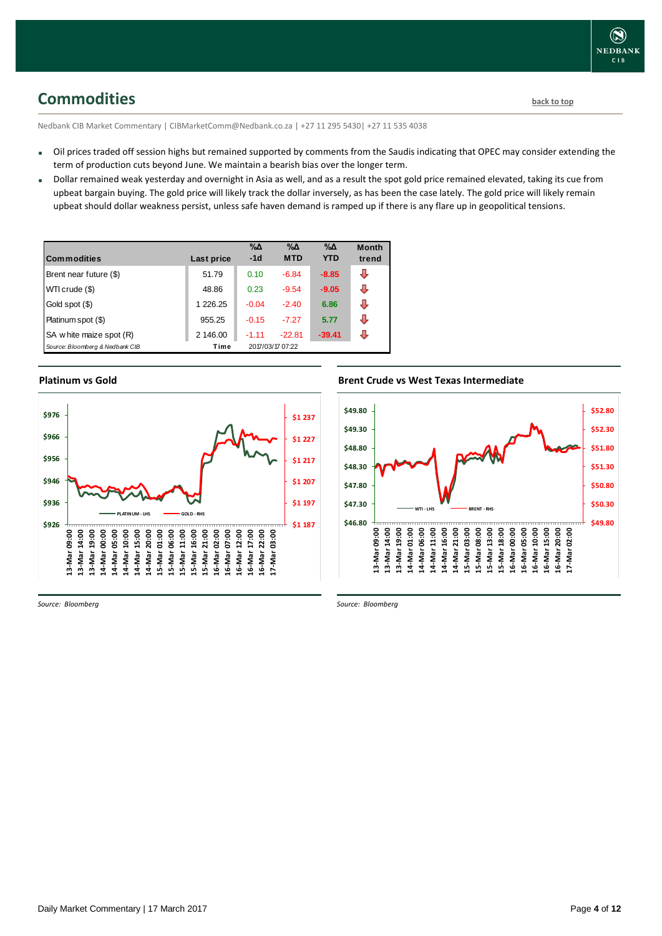## <span id="page-3-0"></span>**Commodities [back to top](#page-0-0)**

Nedbank CIB Market Commentary | CIBMarketComm@Nedbank.co.za | +27 11 295 5430| +27 11 535 4038

- Oil prices traded off session highs but remained supported by comments from the Saudis indicating that OPEC may consider extending the term of production cuts beyond June. We maintain a bearish bias over the longer term.
- Dollar remained weak yesterday and overnight in Asia as well, and as a result the spot gold price remained elevated, taking its cue from upbeat bargain buying. The gold price will likely track the dollar inversely, as has been the case lately. The gold price will likely remain upbeat should dollar weakness persist, unless safe haven demand is ramped up if there is any flare up in geopolitical tensions.

| <b>Commodities</b>              | Last price | $\% \Delta$<br>$-1d$ | $\% \Delta$<br><b>MTD</b> | $\% \Delta$<br><b>YTD</b> | <b>Month</b><br>trend |
|---------------------------------|------------|----------------------|---------------------------|---------------------------|-----------------------|
| Brent near future (\$)          | 51.79      | 0.10                 | $-6.84$                   | $-8.85$                   | ⊕                     |
| WTI crude (\$)                  | 48.86      | 0.23                 | $-9.54$                   | $-9.05$                   | ⊕                     |
| Gold spot (\$)                  | 1 226.25   | $-0.04$              | $-2.40$                   | 6.86                      | ⇩                     |
| Platinum spot (\$)              | 955.25     | $-0.15$              | $-7.27$                   | 5.77                      | ⇩                     |
| SA w hite maize spot (R)        | 2 146.00   | $-1.11$              | $-22.81$                  | $-39.41$                  | л                     |
| Source: Bloomberg & Nedbank CIB | Time       |                      | 2017/03/17 07:22          |                           |                       |

### **Platinum vs Gold**



### **Brent Crude vs West Texas Intermediate**



*Source: Bloomberg*

*Source: Bloomberg*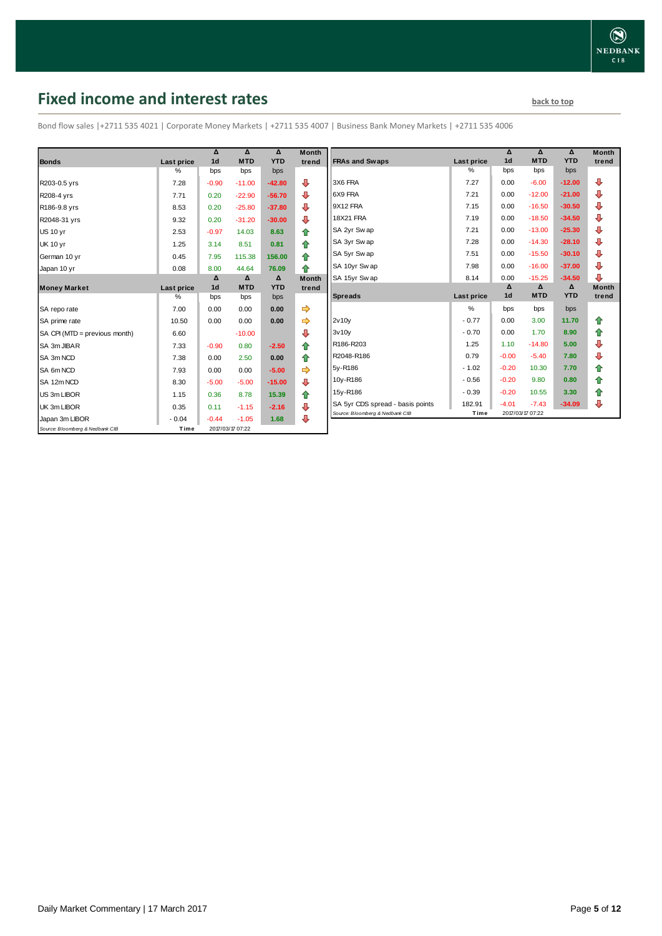## <span id="page-4-0"></span>**Fixed income and interest rates back to the line of the set of the set of the set of the set of the set of the set of the set of the set of the set of the set of the set of the set of the set of the set of the set of th**

Bond flow sales |+2711 535 4021 | Corporate Money Markets | +2711 535 4007 | Business Bank Money Markets | +2711 535 4006

|                                 |            | Δ              | Δ                | $\Delta$   | <b>Month</b> |
|---------------------------------|------------|----------------|------------------|------------|--------------|
| <b>Bonds</b>                    | Last price | 1 <sub>d</sub> | <b>MTD</b>       | <b>YTD</b> | trend        |
|                                 | %          | bps            | bps              | bps        |              |
| R203-0.5 yrs                    | 7.28       | $-0.90$        | $-11.00$         | $-42.80$   | ⊕            |
| R208-4 yrs                      | 7.71       | 0.20           | $-22.90$         | $-56.70$   | ⊕            |
| R186-9.8 yrs                    | 8.53       | 0.20           | $-25.80$         | $-37.80$   | ⊕            |
| R2048-31 yrs                    | 9.32       | 0.20           | $-31.20$         | $-30.00$   | ⊕            |
| <b>US 10 yr</b>                 | 2.53       | $-0.97$        | 14.03            | 8.63       | ⇮            |
| <b>UK 10 yr</b>                 | 1.25       | 3.14           | 8.51             | 0.81       | ⇑            |
| German 10 yr                    | 0.45       | 7.95           | 115.38           | 156.00     | ⇑            |
| Japan 10 yr                     | 0.08       | 8.00           | 44.64            | 76.09      | ♠            |
|                                 |            | Δ              | Δ                | Δ          | <b>Month</b> |
| <b>Money Market</b>             | Last price | 1 <sub>d</sub> | <b>MTD</b>       | <b>YTD</b> | trend        |
|                                 | $\%$       | bps            | bps              | bps        |              |
| SA repo rate                    | 7.00       | 0.00           | 0.00             | 0.00       |              |
| SA prime rate                   | 10.50      | 0.00           | 0.00             | 0.00       | ⇛            |
| SA CPI (MTD = previous month)   | 6.60       |                | $-10.00$         |            | ⊕            |
| SA 3m JIBAR                     | 7.33       | $-0.90$        | 0.80             | $-2.50$    | ⇮            |
| SA 3m NCD                       | 7.38       | 0.00           | 2.50             | 0.00       | 合            |
| SA 6m NCD                       | 7.93       | 0.00           | 0.00             | $-5.00$    |              |
| SA 12m NCD                      | 8.30       | $-5.00$        | $-5.00$          | $-15.00$   | ⊕            |
| US 3m LIBOR                     | 1.15       | 0.36           | 8.78             | 15.39      | ⇑            |
| UK 3m LIBOR                     | 0.35       | 0.11           | $-1.15$          | $-2.16$    | ⊕            |
| Japan 3m LIBOR                  | $-0.04$    | $-0.44$        | $-1.05$          | 1.68       | ⊕            |
| Source: Bloomberg & Nedbank CIB | Time       |                | 2017/03/17 07:22 |            |              |

| Month<br>trend | <b>FRAs and Swaps</b>            | Last price    | Δ<br>1 <sub>d</sub> | Δ<br><b>MTD</b> | Δ<br><b>YTD</b> | <b>Month</b><br>trend |
|----------------|----------------------------------|---------------|---------------------|-----------------|-----------------|-----------------------|
|                |                                  | $\%$          | bps                 | bps             | bps             |                       |
| ⊕              | 3X6 FRA                          | 7.27          | 0.00                | $-6.00$         | $-12.00$        | ⊕                     |
| ⊕              | 6X9 FRA                          | 7.21          | 0.00                | $-12.00$        | $-21.00$        | ⊕                     |
| ⊕              | 9X12 FRA                         | 7.15          | 0.00                | $-16.50$        | $-30.50$        | ⊕                     |
| ⊕              | <b>18X21 FRA</b>                 | 7.19          | 0.00                | $-18.50$        | $-34.50$        | ⊕                     |
| 合              | SA 2yr Sw ap                     | 7.21          | 0.00                | $-13.00$        | $-25.30$        | ⊕                     |
| ⇮              | SA 3yr Swap                      | 7.28          | 0.00                | $-14.30$        | $-28.10$        | ⊕                     |
| 合              | SA 5yr Swap                      | 7.51          | 0.00                | $-15.50$        | $-30.10$        | ⊕                     |
| 合              | SA 10yr Swap                     | 7.98          | 0.00                | $-16.00$        | $-37.00$        | ⊕                     |
| Month          | SA 15yr Swap                     | 8.14          | 0.00                | $-15.25$        | $-34.50$        | ⊕                     |
|                |                                  |               |                     |                 |                 |                       |
| trend          |                                  |               | Δ                   | Δ               | Δ               | <b>Month</b>          |
|                | <b>Spreads</b>                   | Last price    | 1 <sub>d</sub>      | <b>MTD</b>      | <b>YTD</b>      | trend                 |
|                |                                  | $\frac{9}{6}$ | bps                 | bps             | bps             |                       |
| ⇛<br>⇛         | 2v10v                            | $-0.77$       | 0.00                | 3.00            | 11.70           | ⇑                     |
| ⊕              | 3v10v                            | $-0.70$       | 0.00                | 1.70            | 8.90            | ⇑                     |
| 合              | R186-R203                        | 1.25          | 1.10                | $-14.80$        | 5.00            | ⊕                     |
| 合              | R2048-R186                       | 0.79          | $-0.00$             | $-5.40$         | 7.80            | ⊕                     |
| ⇛              | 5y-R186                          | $-1.02$       | $-0.20$             | 10.30           | 7.70            | ⇑                     |
|                | 10y-R186                         | $-0.56$       | $-0.20$             | 9.80            | 0.80            | 合                     |
| ⊕              | 15y-R186                         | $-0.39$       | $-0.20$             | 10.55           | 3.30            | ⇑                     |
| 合<br>⊕         | SA 5yr CDS spread - basis points | 182.91        | $-4.01$             | $-7.43$         | $-34.09$        | ⊕                     |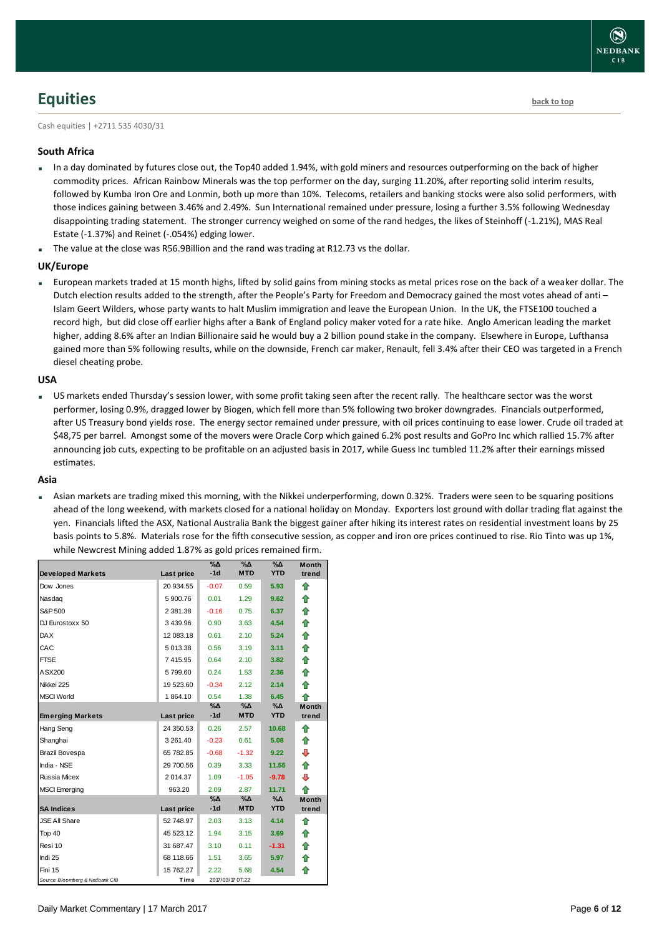# <span id="page-5-0"></span>**Equities [back to top](#page-0-0)**

Cash equities | +2711 535 4030/31

### **South Africa**

- In a day dominated by futures close out, the Top40 added 1.94%, with gold miners and resources outperforming on the back of higher commodity prices. African Rainbow Minerals was the top performer on the day, surging 11.20%, after reporting solid interim results, followed by Kumba Iron Ore and Lonmin, both up more than 10%. Telecoms, retailers and banking stocks were also solid performers, with those indices gaining between 3.46% and 2.49%. Sun International remained under pressure, losing a further 3.5% following Wednesday disappointing trading statement. The stronger currency weighed on some of the rand hedges, the likes of Steinhoff (-1.21%), MAS Real Estate (-1.37%) and Reinet (-.054%) edging lower.
- The value at the close was R56.9Billion and the rand was trading at R12.73 vs the dollar.

### **UK/Europe**

 European markets traded at 15 month highs, lifted by solid gains from mining stocks as metal prices rose on the back of a weaker dollar. The Dutch election results added to the strength, after the People's Party for Freedom and Democracy gained the most votes ahead of anti – Islam Geert Wilders, whose party wants to halt Muslim immigration and leave the European Union. In the UK, the FTSE100 touched a record high, but did close off earlier highs after a Bank of England policy maker voted for a rate hike. Anglo American leading the market higher, adding 8.6% after an Indian Billionaire said he would buy a 2 billion pound stake in the company. Elsewhere in Europe, Lufthansa gained more than 5% following results, while on the downside, French car maker, Renault, fell 3.4% after their CEO was targeted in a French diesel cheating probe.

### **USA**

 US markets ended Thursday's session lower, with some profit taking seen after the recent rally. The healthcare sector was the worst performer, losing 0.9%, dragged lower by Biogen, which fell more than 5% following two broker downgrades. Financials outperformed, after US Treasury bond yields rose. The energy sector remained under pressure, with oil prices continuing to ease lower. Crude oil traded at \$48,75 per barrel. Amongst some of the movers were Oracle Corp which gained 6.2% post results and GoPro Inc which rallied 15.7% after announcing job cuts, expecting to be profitable on an adjusted basis in 2017, while Guess Inc tumbled 11.2% after their earnings missed estimates.

#### **Asia**

 Asian markets are trading mixed this morning, with the Nikkei underperforming, down 0.32%. Traders were seen to be squaring positions ahead of the long weekend, with markets closed for a national holiday on Monday. Exporters lost ground with dollar trading flat against the yen. Financials lifted the ASX, National Australia Bank the biggest gainer after hiking its interest rates on residential investment loans by 25 basis points to 5.8%. Materials rose for the fifth consecutive session, as copper and iron ore prices continued to rise. Rio Tinto was up 1%, while Newcrest Mining added 1.87% as gold prices remained firm.

| <b>Developed Markets</b>        | Last price | $\%$ $\Delta$<br>$-1d$ | $\%$ $\Delta$<br><b>MTD</b> | $\%$ $\Delta$<br><b>YTD</b> | <b>Month</b><br>trend |
|---------------------------------|------------|------------------------|-----------------------------|-----------------------------|-----------------------|
| Dow Jones                       | 20 934.55  | $-0.07$                | 0.59                        | 5.93                        | ♠                     |
| Nasdag                          | 5 900.76   | 0.01                   | 1.29                        | 9.62                        | ⇑                     |
| S&P 500                         | 2 381.38   | $-0.16$                | 0.75                        | 6.37                        | 合                     |
| DJ Eurostoxx 50                 | 3 439.96   | 0.90                   | 3.63                        | 4.54                        | ⇑                     |
|                                 |            |                        |                             |                             |                       |
| <b>DAX</b>                      | 12 083.18  | 0.61                   | 2.10                        | 5.24                        | 合                     |
| CAC                             | 5 013.38   | 0.56                   | 3.19                        | 3.11                        | ⇑                     |
| <b>FTSE</b>                     | 7415.95    | 0.64                   | 2.10                        | 3.82                        | 合                     |
| ASX200                          | 5799.60    | 0.24                   | 1.53                        | 2.36                        | ⇑                     |
| Nikkei 225                      | 19 523.60  | $-0.34$                | 2.12                        | 2.14                        | 合                     |
| <b>MSCI World</b>               | 1864.10    | 0.54                   | 1.38                        | 6.45                        | ⇑                     |
|                                 |            | %Δ                     | %Δ                          | $\%$ $\Delta$               | <b>Month</b>          |
| <b>Emerging Markets</b>         | Last price | $-1d$                  | <b>MTD</b>                  | <b>YTD</b>                  | trend                 |
| Hang Seng                       | 24 350.53  | 0.26                   | 2.57                        | 10.68                       | ⇑                     |
| Shanghai                        | 3 261.40   | $-0.23$                | 0.61                        | 5.08                        | ⇑                     |
| <b>Brazil Bovespa</b>           | 65 782.85  | $-0.68$                | $-1.32$                     | 9.22                        | ⊕                     |
| India - NSE                     | 29 700.56  | 0.39                   | 3.33                        | 11.55                       | ⇑                     |
| Russia Micex                    | 2 014.37   | 1.09                   | $-1.05$                     | $-9.78$                     | ⇩                     |
| <b>MSCI</b> Emerging            | 963.20     | 2.09                   | 2.87                        | 11.71                       | ♠                     |
|                                 |            | $\% \Delta$            | %Δ                          | %Δ                          | <b>Month</b>          |
| <b>SA Indices</b>               | Last price | $-1d$                  | <b>MTD</b>                  | <b>YTD</b>                  | trend                 |
| <b>JSE All Share</b>            | 52 748.97  | 2.03                   | 3.13                        | 4.14                        | ⇑                     |
| Top 40                          | 45 523.12  | 1.94                   | 3.15                        | 3.69                        | ⇑                     |
| Resi 10                         | 31 687.47  | 3.10                   | 0.11                        | $-1.31$                     | ⇑                     |
| Indi 25                         | 68 118.66  | 1.51                   | 3.65                        | 5.97                        | 合                     |
| Fini 15                         | 15 762.27  | 2.22                   | 5.68                        | 4.54                        | ⇑                     |
| Source: Bloomberg & Nedbank CIB | Time       |                        | 2017/03/17 07:22            |                             |                       |

**NEDBANK**  $CIB$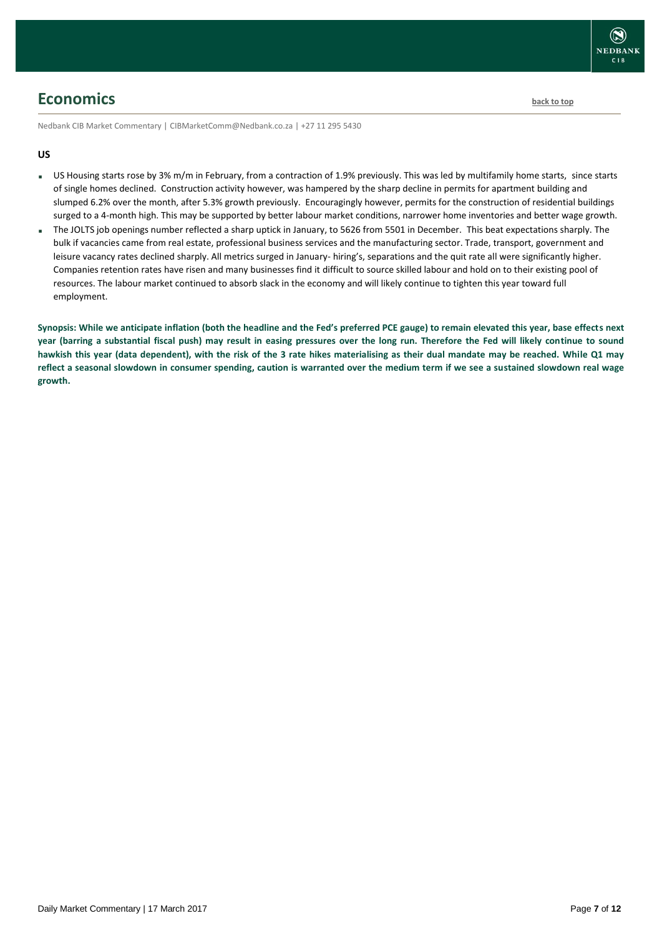

## <span id="page-6-0"></span>**Economics [back to top](#page-0-0)**

Nedbank CIB Market Commentary | CIBMarketComm@Nedbank.co.za | +27 11 295 5430

### **US**

- US Housing starts rose by 3% m/m in February, from a contraction of 1.9% previously. This was led by multifamily home starts, since starts of single homes declined. Construction activity however, was hampered by the sharp decline in permits for apartment building and slumped 6.2% over the month, after 5.3% growth previously. Encouragingly however, permits for the construction of residential buildings surged to a 4-month high. This may be supported by better labour market conditions, narrower home inventories and better wage growth.
- The JOLTS job openings number reflected a sharp uptick in January, to 5626 from 5501 in December. This beat expectations sharply. The bulk if vacancies came from real estate, professional business services and the manufacturing sector. Trade, transport, government and leisure vacancy rates declined sharply. All metrics surged in January- hiring's, separations and the quit rate all were significantly higher. Companies retention rates have risen and many businesses find it difficult to source skilled labour and hold on to their existing pool of resources. The labour market continued to absorb slack in the economy and will likely continue to tighten this year toward full employment.

**Synopsis: While we anticipate inflation (both the headline and the Fed's preferred PCE gauge) to remain elevated this year, base effects next year (barring a substantial fiscal push) may result in easing pressures over the long run. Therefore the Fed will likely continue to sound hawkish this year (data dependent), with the risk of the 3 rate hikes materialising as their dual mandate may be reached. While Q1 may reflect a seasonal slowdown in consumer spending, caution is warranted over the medium term if we see a sustained slowdown real wage growth.**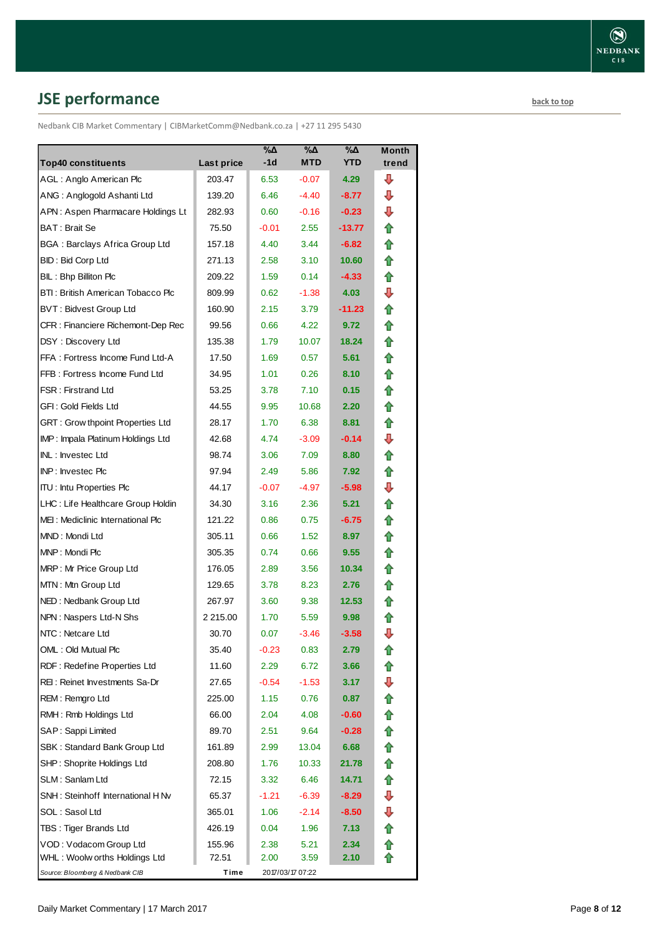# <span id="page-7-0"></span>**JSE performance [back to top](#page-0-0)**

Nedbank CIB Market Commentary | CIBMarketComm@Nedbank.co.za | +27 11 295 5430

| <b>Top40 constituents</b>          | Last price   | %Δ<br>-1d | %Δ<br><b>MTD</b> | %Δ<br><b>YTD</b> | <b>Month</b><br>trend |
|------------------------------------|--------------|-----------|------------------|------------------|-----------------------|
| AGL: Anglo American Plc            | 203.47       | 6.53      | $-0.07$          | 4.29             | ⊕                     |
| ANG: Anglogold Ashanti Ltd         | 139.20       | 6.46      | $-4.40$          | $-8.77$          | ⊕                     |
| APN: Aspen Pharmacare Holdings Lt  | 282.93       | 0.60      | $-0.16$          | $-0.23$          | ⊕                     |
| BAT: Brait Se                      | 75.50        | $-0.01$   | 2.55             | -13.77           | ⇑                     |
| BGA: Barclays Africa Group Ltd     | 157.18       | 4.40      | 3.44             | $-6.82$          | ✿                     |
| <b>BID: Bid Corp Ltd</b>           | 271.13       | 2.58      | 3.10             | 10.60            | ⇑                     |
| BIL: Bhp Billiton Plc              | 209.22       | 1.59      | 0.14             | $-4.33$          | 合                     |
| BTI: British American Tobacco Plc  | 809.99       | 0.62      | $-1.38$          | 4.03             | ⊕                     |
| <b>BVT: Bidvest Group Ltd</b>      | 160.90       | 2.15      | 3.79             | $-11.23$         | ✿                     |
| CFR : Financiere Richemont-Dep Rec | 99.56        | 0.66      | 4.22             | 9.72             | ⇑                     |
| DSY: Discovery Ltd                 | 135.38       | 1.79      | 10.07            | 18.24            | ✿                     |
| FFA: Fortress Income Fund Ltd-A    | 17.50        | 1.69      | 0.57             | 5.61             | ✿                     |
| FFB: Fortress Income Fund Ltd      | 34.95        | 1.01      | 0.26             | 8.10             | ⇑                     |
| FSR: Firstrand Ltd                 | 53.25        | 3.78      | 7.10             | 0.15             | ✿                     |
| GFI : Gold Fields Ltd              | 44.55        | 9.95      | 10.68            | 2.20             | ⇑                     |
| GRT: Grow thpoint Properties Ltd   | 28.17        | 1.70      | 6.38             | 8.81             | 合                     |
| IMP: Impala Platinum Holdings Ltd  | 42.68        | 4.74      | $-3.09$          | $-0.14$          | ⇩                     |
| INL: Investec Ltd                  | 98.74        | 3.06      | 7.09             | 8.80             | ⇑                     |
| INP: Investec Plc                  | 97.94        | 2.49      | 5.86             | 7.92             | 合                     |
| <b>ITU: Intu Properties Plc</b>    | 44.17        | $-0.07$   | -4.97            | $-5.98$          | ⇩                     |
| LHC: Life Healthcare Group Holdin  | 34.30        | 3.16      | 2.36             | 5.21             | ✿                     |
| MEI: Mediclinic International Plc  | 121.22       | 0.86      | 0.75             | $-6.75$          | ✿                     |
| MND: Mondi Ltd                     | 305.11       | 0.66      | 1.52             | 8.97             | 合                     |
| MNP: Mondi Plc                     | 305.35       | 0.74      | 0.66             | 9.55             | ⇑                     |
| MRP: Mr Price Group Ltd            | 176.05       | 2.89      | 3.56             | 10.34            | ⇑                     |
| MTN: Mtn Group Ltd                 | 129.65       | 3.78      | 8.23             | 2.76             | ⇑                     |
| NED: Nedbank Group Ltd             | 267.97       | 3.60      | 9.38             | 12.53            | ⇑                     |
| NPN: Naspers Ltd-N Shs             | 2 2 1 5 .0 0 | 1.70      | 5.59             | 9.98             | ⇑                     |
| NTC: Netcare Ltd                   | 30.70        | 0.07      | $-3.46$          | $-3.58$          | ⇩                     |
| OML: Old Mutual Plc                | 35.40        | $-0.23$   | 0.83             | 2.79             | t                     |
| RDF: Redefine Properties Ltd       | 11.60        | 2.29      | 6.72             | 3.66             | ⇧                     |
| REI : Reinet Investments Sa-Dr     | 27.65        | $-0.54$   | $-1.53$          | 3.17             | ⇩                     |
| REM: Remgro Ltd                    | 225.00       | 1.15      | 0.76             | 0.87             | ⇑                     |
| RMH: Rmb Holdings Ltd              | 66.00        | 2.04      | 4.08             | $-0.60$          | ⇑                     |
| SAP: Sappi Limited                 | 89.70        | 2.51      | 9.64             | $-0.28$          | ⇮                     |
| SBK: Standard Bank Group Ltd       | 161.89       | 2.99      | 13.04            | 6.68             | ⇮                     |
| SHP: Shoprite Holdings Ltd         | 208.80       | 1.76      | 10.33            | 21.78            | ⇑                     |
| SLM : Sanlam Ltd                   | 72.15        | 3.32      | 6.46             | 14.71            | 合                     |
| SNH : Steinhoff International H Nv | 65.37        | -1.21     | $-6.39$          | $-8.29$          | ⊕                     |
| SOL : Sasol Ltd                    | 365.01       | 1.06      | $-2.14$          | $-8.50$          | ₽                     |
| TBS: Tiger Brands Ltd              | 426.19       | 0.04      | 1.96             | 7.13             | 合                     |
| VOD: Vodacom Group Ltd             | 155.96       | 2.38      | 5.21             | 2.34             | 合                     |
| WHL : Woolw orths Holdings Ltd     | 72.51        | 2.00      | 3.59             | 2.10             |                       |
| Source: Bloomberg & Nedbank CIB    | Time         |           | 2017/03/17 07:22 |                  |                       |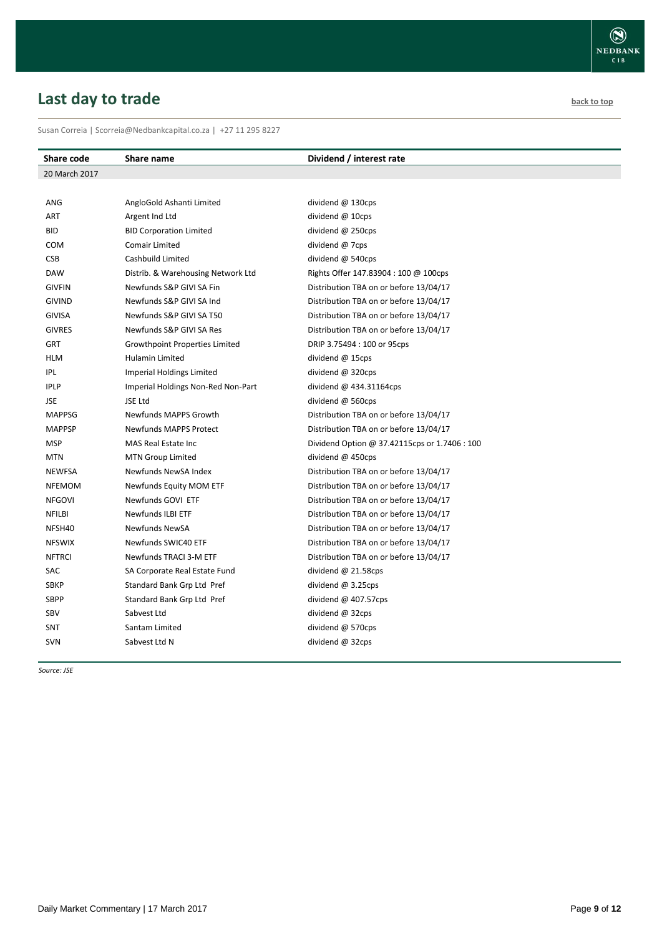# <span id="page-8-0"></span>**Last day to trade back to the contract of the contract of the contract of the contract of the contract of the contract of the contract of the contract of the contract of the contract of the contract of the contract of t**

Susan Correia | [Scorreia@Nedbankcapital.co.za](mailto:Scorreia@Nedbankcapital.co.za) | +27 11 295 8227

| Share code    | Share name                            | Dividend / interest rate                      |
|---------------|---------------------------------------|-----------------------------------------------|
| 20 March 2017 |                                       |                                               |
|               |                                       |                                               |
| ANG           | AngloGold Ashanti Limited             | dividend @ 130cps                             |
| <b>ART</b>    | Argent Ind Ltd                        | dividend @ 10cps                              |
| <b>BID</b>    | <b>BID Corporation Limited</b>        | dividend @ 250cps                             |
| <b>COM</b>    | <b>Comair Limited</b>                 | dividend @ 7cps                               |
| <b>CSB</b>    | Cashbuild Limited                     | dividend @ 540cps                             |
| <b>DAW</b>    | Distrib. & Warehousing Network Ltd    | Rights Offer 147.83904 : 100 @ 100cps         |
| <b>GIVFIN</b> | Newfunds S&P GIVI SA Fin              | Distribution TBA on or before 13/04/17        |
| <b>GIVIND</b> | Newfunds S&P GIVI SA Ind              | Distribution TBA on or before 13/04/17        |
| <b>GIVISA</b> | Newfunds S&P GIVI SA T50              | Distribution TBA on or before 13/04/17        |
| <b>GIVRES</b> | Newfunds S&P GIVI SA Res              | Distribution TBA on or before 13/04/17        |
| <b>GRT</b>    | <b>Growthpoint Properties Limited</b> | DRIP 3.75494 : 100 or 95cps                   |
| <b>HLM</b>    | Hulamin Limited                       | dividend @ 15cps                              |
| IPL           | <b>Imperial Holdings Limited</b>      | dividend @ 320cps                             |
| <b>IPLP</b>   | Imperial Holdings Non-Red Non-Part    | dividend $@$ 434.31164cps                     |
| <b>JSE</b>    | JSE Ltd                               | dividend @ 560cps                             |
| <b>MAPPSG</b> | <b>Newfunds MAPPS Growth</b>          | Distribution TBA on or before 13/04/17        |
| <b>MAPPSP</b> | <b>Newfunds MAPPS Protect</b>         | Distribution TBA on or before 13/04/17        |
| <b>MSP</b>    | MAS Real Estate Inc                   | Dividend Option @ 37.42115cps or 1.7406 : 100 |
| <b>MTN</b>    | <b>MTN Group Limited</b>              | dividend @ 450cps                             |
| <b>NEWFSA</b> | Newfunds NewSA Index                  | Distribution TBA on or before 13/04/17        |
| <b>NFEMOM</b> | Newfunds Equity MOM ETF               | Distribution TBA on or before 13/04/17        |
| <b>NFGOVI</b> | Newfunds GOVI ETF                     | Distribution TBA on or before 13/04/17        |
| <b>NFILBI</b> | Newfunds ILBI ETF                     | Distribution TBA on or before 13/04/17        |
| NFSH40        | <b>Newfunds NewSA</b>                 | Distribution TBA on or before 13/04/17        |
| <b>NFSWIX</b> | Newfunds SWIC40 ETF                   | Distribution TBA on or before 13/04/17        |
| <b>NFTRCI</b> | Newfunds TRACI 3-M ETF                | Distribution TBA on or before 13/04/17        |
| SAC           | SA Corporate Real Estate Fund         | dividend $@$ 21.58cps                         |
| <b>SBKP</b>   | Standard Bank Grp Ltd Pref            | dividend $@3.25$ cps                          |
| <b>SBPP</b>   | Standard Bank Grp Ltd Pref            | dividend $@$ 407.57cps                        |
| SBV           | Sabvest Ltd                           | dividend $@$ 32cps                            |
| <b>SNT</b>    | Santam Limited                        | dividend @ 570cps                             |
| <b>SVN</b>    | Sabvest Ltd N                         | dividend @ 32cps                              |
|               |                                       |                                               |

*Source: JSE*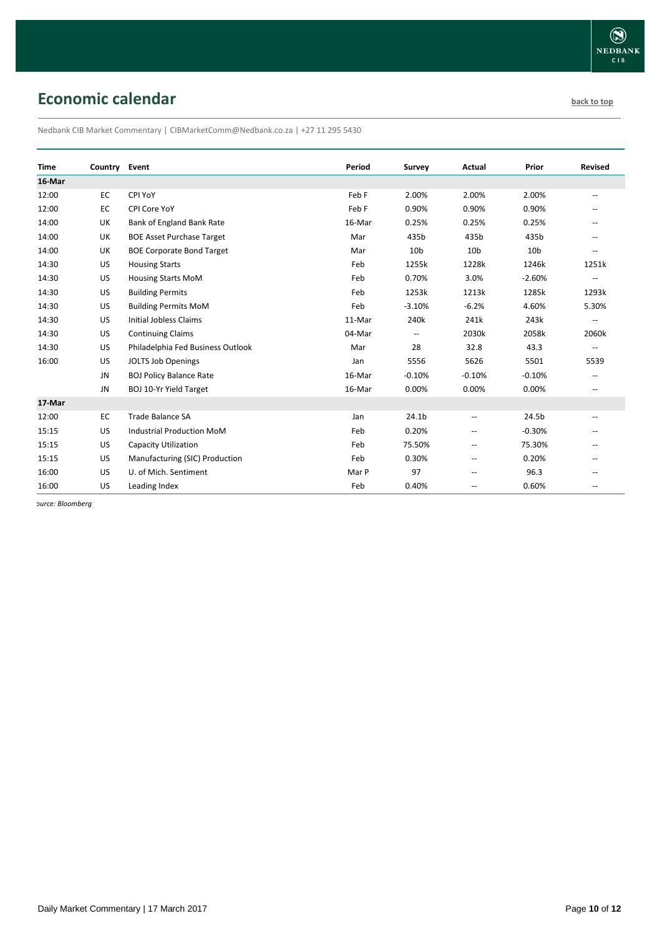# <span id="page-9-0"></span>**Economic calendar [back to top](#page-0-0) back to top**

Nedbank CIB Market Commentary | CIBMarketComm@Nedbank.co.za | +27 11 295 5430

| <b>Time</b> | Country   | Event                             | Period | Survey                   | Actual                   | <b>Prior</b>    | <b>Revised</b>           |
|-------------|-----------|-----------------------------------|--------|--------------------------|--------------------------|-----------------|--------------------------|
| 16-Mar      |           |                                   |        |                          |                          |                 |                          |
| 12:00       | <b>EC</b> | CPI YoY                           | Feb F  | 2.00%                    | 2.00%                    | 2.00%           | --                       |
| 12:00       | EC        | CPI Core YoY                      | Feb F  | 0.90%                    | 0.90%                    | 0.90%           |                          |
| 14:00       | <b>UK</b> | Bank of England Bank Rate         | 16-Mar | 0.25%                    | 0.25%                    | 0.25%           |                          |
| 14:00       | UK        | <b>BOE Asset Purchase Target</b>  | Mar    | 435b                     | 435b                     | 435b            |                          |
| 14:00       | UK        | <b>BOE Corporate Bond Target</b>  | Mar    | 10 <sub>b</sub>          | 10 <sub>b</sub>          | 10 <sub>b</sub> |                          |
| 14:30       | US        | <b>Housing Starts</b>             | Feb    | 1255k                    | 1228k                    | 1246k           | 1251k                    |
| 14:30       | US        | <b>Housing Starts MoM</b>         | Feb    | 0.70%                    | 3.0%                     | $-2.60%$        | $\overline{\phantom{a}}$ |
| 14:30       | US        | <b>Building Permits</b>           | Feb    | 1253k                    | 1213k                    | 1285k           | 1293k                    |
| 14:30       | US        | <b>Building Permits MoM</b>       | Feb    | $-3.10%$                 | $-6.2%$                  | 4.60%           | 5.30%                    |
| 14:30       | US        | <b>Initial Jobless Claims</b>     | 11-Mar | 240k                     | 241k                     | 243k            | --                       |
| 14:30       | US        | <b>Continuing Claims</b>          | 04-Mar | $\overline{\phantom{a}}$ | 2030k                    | 2058k           | 2060k                    |
| 14:30       | US        | Philadelphia Fed Business Outlook | Mar    | 28                       | 32.8                     | 43.3            | $\overline{\phantom{a}}$ |
| 16:00       | <b>US</b> | <b>JOLTS Job Openings</b>         | Jan    | 5556                     | 5626                     | 5501            | 5539                     |
|             | JN        | <b>BOJ Policy Balance Rate</b>    | 16-Mar | $-0.10%$                 | $-0.10%$                 | $-0.10%$        | --                       |
|             | <b>JN</b> | <b>BOJ 10-Yr Yield Target</b>     | 16-Mar | 0.00%                    | 0.00%                    | 0.00%           | --                       |
| 17-Mar      |           |                                   |        |                          |                          |                 |                          |
| 12:00       | <b>EC</b> | <b>Trade Balance SA</b>           | Jan    | 24.1 <sub>b</sub>        | $\overline{a}$           | 24.5b           | --                       |
| 15:15       | US.       | <b>Industrial Production MoM</b>  | Feb    | 0.20%                    | $\overline{\phantom{a}}$ | $-0.30%$        | $-$                      |
| 15:15       | US        | <b>Capacity Utilization</b>       | Feb    | 75.50%                   | $\overline{\phantom{a}}$ | 75.30%          | --                       |
| 15:15       | US        | Manufacturing (SIC) Production    | Feb    | 0.30%                    | $\overline{\phantom{a}}$ | 0.20%           | --                       |
| 16:00       | US        | U. of Mich. Sentiment             | Mar P  | 97                       | --                       | 96.3            | --                       |
| 16:00       | <b>US</b> | Leading Index                     | Feb    | 0.40%                    | $\overline{\phantom{a}}$ | 0.60%           | --                       |

*Source: Bloomberg*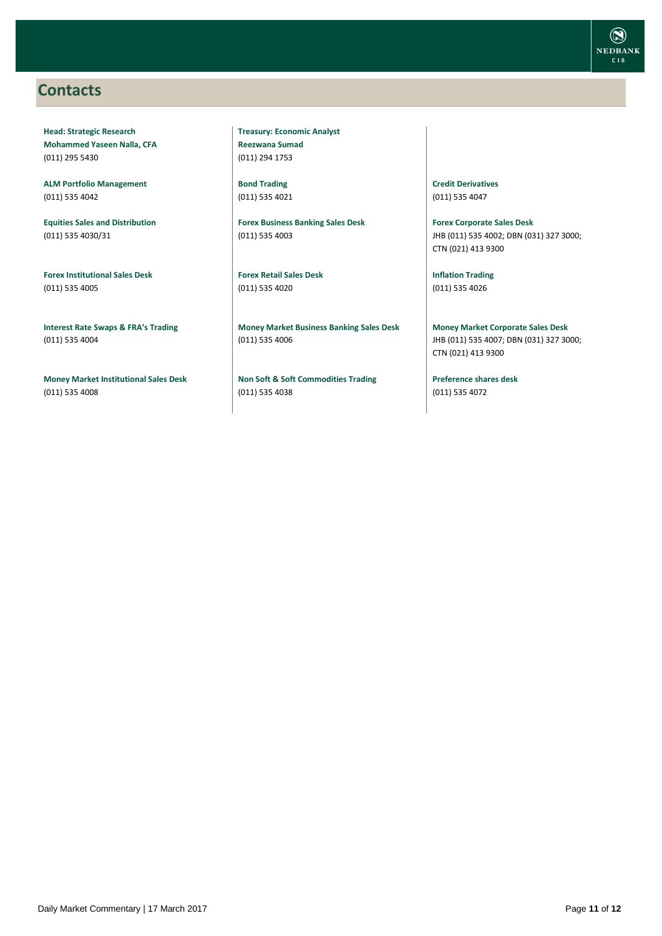### <span id="page-10-0"></span>**Contacts**

**Head: Strategic Research Mohammed Yaseen Nalla, CFA** (011) 295 5430

**ALM Portfolio Management** (011) 535 4042

**Equities Sales and Distribution** (011) 535 4030/31

**Forex Institutional Sales Desk** (011) 535 4005

**Interest Rate Swaps & FRA's Trading** (011) 535 4004

**Money Market Institutional Sales Desk** (011) 535 4008

**Treasury: Economic Analyst Reezwana Sumad** (011) 294 1753

**Bond Trading** (011) 535 4021

**Forex Business Banking Sales Desk** (011) 535 4003

**Forex Retail Sales Desk** (011) 535 4020

**Money Market Business Banking Sales Desk** (011) 535 4006

**Non Soft & Soft Commodities Trading** (011) 535 4038

**Credit Derivatives**  (011) 535 4047

**Forex Corporate Sales Desk** JHB (011) 535 4002; DBN (031) 327 3000; CTN (021) 413 9300

**Inflation Trading** (011) 535 4026

**Money Market Corporate Sales Desk** JHB (011) 535 4007; DBN (031) 327 3000; CTN (021) 413 9300

**Preference shares desk** (011) 535 4072